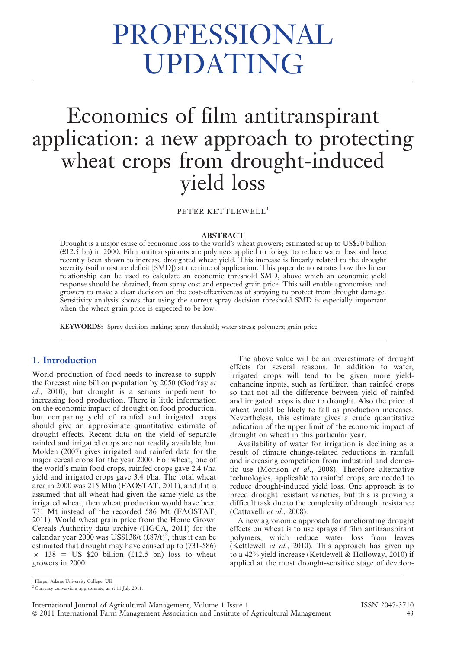# PROFESSIONAL UPDATING

# Economics of film antitranspirant application: a new approach to protecting wheat crops from drought-induced yield loss

PETER KETTLEWELL<sup>1</sup>

#### ABSTRACT

Drought is a major cause of economic loss to the world's wheat growers; estimated at up to US\$20 billion (£12.5 bn) in 2000. Film antitranspirants are polymers applied to foliage to reduce water loss and have recently been shown to increase droughted wheat yield. This increase is linearly related to the drought severity (soil moisture deficit [SMD]) at the time of application. This paper demonstrates how this linear relationship can be used to calculate an economic threshold SMD, above which an economic yield response should be obtained, from spray cost and expected grain price. This will enable agronomists and growers to make a clear decision on the cost-effectiveness of spraying to protect from drought damage. Sensitivity analysis shows that using the correct spray decision threshold SMD is especially important when the wheat grain price is expected to be low.

KEYWORDS: Spray decision-making; spray threshold; water stress; polymers; grain price

# 1. Introduction

World production of food needs to increase to supply the forecast nine billion population by 2050 (Godfray et al., 2010), but drought is a serious impediment to increasing food production. There is little information on the economic impact of drought on food production, but comparing yield of rainfed and irrigated crops should give an approximate quantitative estimate of drought effects. Recent data on the yield of separate rainfed and irrigated crops are not readily available, but Molden (2007) gives irrigated and rainfed data for the major cereal crops for the year 2000. For wheat, one of the world's main food crops, rainfed crops gave 2.4 t/ha yield and irrigated crops gave 3.4 t/ha. The total wheat area in 2000 was 215 Mha (FAOSTAT, 2011), and if it is assumed that all wheat had given the same yield as the irrigated wheat, then wheat production would have been 731 Mt instead of the recorded 586 Mt (FAOSTAT, 2011). World wheat grain price from the Home Grown Cereals Authority data archive (HGCA, 2011) for the calendar year 2000 was US\$138/t  $(\text{\textsterling}87/t)^2$ , thus it can be estimated that drought may have caused up to (731-586)  $\times$  138 = US \$20 billion (£12.5 bn) loss to wheat growers in 2000.

The above value will be an overestimate of drought effects for several reasons. In addition to water, irrigated crops will tend to be given more yieldenhancing inputs, such as fertilizer, than rainfed crops so that not all the difference between yield of rainfed and irrigated crops is due to drought. Also the price of wheat would be likely to fall as production increases. Nevertheless, this estimate gives a crude quantitative indication of the upper limit of the economic impact of drought on wheat in this particular year.

Availability of water for irrigation is declining as a result of climate change-related reductions in rainfall and increasing competition from industrial and domestic use (Morison et al., 2008). Therefore alternative technologies, applicable to rainfed crops, are needed to reduce drought-induced yield loss. One approach is to breed drought resistant varieties, but this is proving a difficult task due to the complexity of drought resistance (Cattavelli et al., 2008).

A new agronomic approach for ameliorating drought effects on wheat is to use sprays of film antitranspirant polymers, which reduce water loss from leaves (Kettlewell et al., 2010). This approach has given up to a 42% yield increase (Kettlewell & Holloway, 2010) if applied at the most drought-sensitive stage of develop-

<sup>1</sup> Harper Adams University College, UK

<sup>2</sup> Currency conversions approximate, as at 11 July 2011.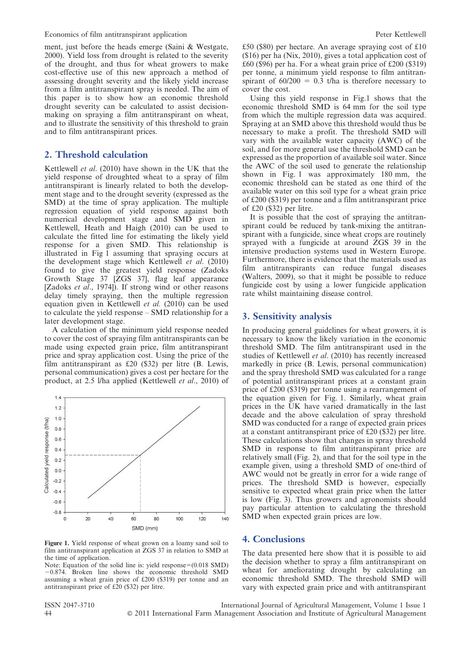ment, just before the heads emerge (Saini & Westgate, 2000). Yield loss from drought is related to the severity of the drought, and thus for wheat growers to make cost-effective use of this new approach a method of assessing drought severity and the likely yield increase from a film antitranspirant spray is needed. The aim of this paper is to show how an economic threshold drought severity can be calculated to assist decisionmaking on spraying a film antitranspirant on wheat, and to illustrate the sensitivity of this threshold to grain and to film antitranspirant prices.

### 2. Threshold calculation

Kettlewell et al. (2010) have shown in the UK that the yield response of droughted wheat to a spray of film antitranspirant is linearly related to both the development stage and to the drought severity (expressed as the SMD) at the time of spray application. The multiple regression equation of yield response against both numerical development stage and SMD given in Kettlewell, Heath and Haigh (2010) can be used to calculate the fitted line for estimating the likely yield response for a given SMD. This relationship is illustrated in Fig 1 assuming that spraying occurs at the development stage which Kettlewell et al. (2010) found to give the greatest yield response (Zadoks Growth Stage 37 [ZGS 37], flag leaf appearance [Zadoks et al., 1974]). If strong wind or other reasons delay timely spraying, then the multiple regression equation given in Kettlewell et al. (2010) can be used to calculate the yield response – SMD relationship for a later development stage.

A calculation of the minimum yield response needed to cover the cost of spraying film antitranspirants can be made using expected grain price, film antitranspirant price and spray application cost. Using the price of the film antitranspirant as £20 (\$32) per litre (B. Lewis, personal communication) gives a cost per hectare for the product, at 2.5 l/ha applied (Kettlewell et al., 2010) of



Figure 1. Yield response of wheat grown on a loamy sand soil to film antitranspirant application at ZGS 37 in relation to SMD at the time of application.

Note: Equation of the solid line is: yield response= $(0.018 \text{ SMD})$  $-0.874$ . Broken line shows the economic threshold SMD assuming a wheat grain price of £200 (\$319) per tonne and an antitranspirant price of £20 (\$32) per litre.

£50 (\$80) per hectare. An average spraying cost of £10 (\$16) per ha (Nix, 2010), gives a total application cost of  $\pounds 60$  (\$96) per ha. For a wheat grain price of £200 (\$319) per tonne, a minimum yield response to film antitranspirant of  $60/200 = 0.3$  t/ha is therefore necessary to cover the cost.

Using this yield response in Fig.1 shows that the economic threshold SMD is 64 mm for the soil type from which the multiple regression data was acquired. Spraying at an SMD above this threshold would thus be necessary to make a profit. The threshold SMD will vary with the available water capacity (AWC) of the soil, and for more general use the threshold SMD can be expressed as the proportion of available soil water. Since the AWC of the soil used to generate the relationship shown in Fig. 1 was approximately 180 mm, the economic threshold can be stated as one third of the available water on this soil type for a wheat grain price of £200 (\$319) per tonne and a film antitranspirant price of £20 (\$32) per litre.

It is possible that the cost of spraying the antitranspirant could be reduced by tank-mixing the antitranspirant with a fungicide, since wheat crops are routinely sprayed with a fungicide at around ZGS 39 in the intensive production systems used in Western Europe. Furthermore, there is evidence that the materials used as film antitranspirants can reduce fungal diseases (Walters, 2009), so that it might be possible to reduce fungicide cost by using a lower fungicide application rate whilst maintaining disease control.

## 3. Sensitivity analysis

In producing general guidelines for wheat growers, it is necessary to know the likely variation in the economic threshold SMD. The film antitranspirant used in the studies of Kettlewell et al. (2010) has recently increased markedly in price (B. Lewis, personal communication) and the spray threshold SMD was calculated for a range of potential antitranspirant prices at a constant grain price of £200 (\$319) per tonne using a rearrangement of the equation given for Fig. 1. Similarly, wheat grain prices in the UK have varied dramatically in the last decade and the above calculation of spray threshold SMD was conducted for a range of expected grain prices at a constant antitranspirant price of £20 (\$32) per litre. These calculations show that changes in spray threshold SMD in response to film antitranspirant price are relatively small (Fig. 2), and that for the soil type in the example given, using a threshold SMD of one-third of AWC would not be greatly in error for a wide range of prices. The threshold SMD is however, especially sensitive to expected wheat grain price when the latter is low (Fig. 3). Thus growers and agronomists should pay particular attention to calculating the threshold SMD when expected grain prices are low.

#### 4. Conclusions

The data presented here show that it is possible to aid the decision whether to spray a film antitranspirant on wheat for ameliorating drought by calculating an economic threshold SMD. The threshold SMD will vary with expected grain price and with antitranspirant